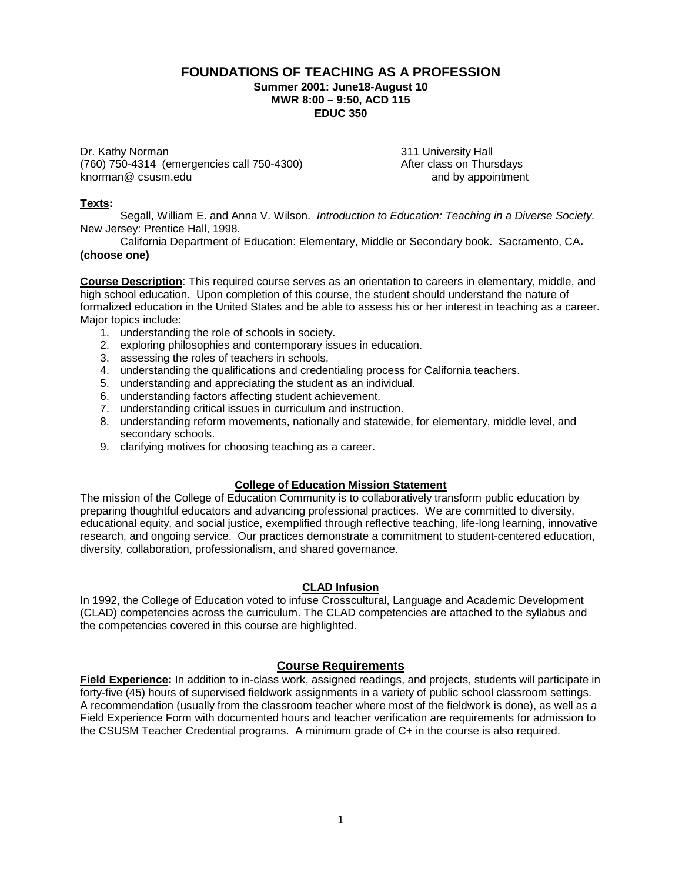#### **FOUNDATIONS OF TEACHING AS A PROFESSION Summer 2001: June18-August 10 MWR 8:00 – 9:50, ACD 115 EDUC 350**

Dr. Kathy Norman 2011 University Hall<br>(760) 750-4314 (emergencies call 750-4300) 2008 2011 After class on Thursdays (760) 750-4314 (emergencies call 750-4300) (760) After class on Thursdays<br>knorman@ csusm.edu and by appointment  $known@$  csusm.edu

#### **Texts:**

Segall, William E. and Anna V. Wilson. *Introduction to Education: Teaching in a Diverse Society.*  New Jersey: Prentice Hall, 1998.

California Department of Education: Elementary, Middle or Secondary book. Sacramento, CA**. (choose one)**

**Course Description**: This required course serves as an orientation to careers in elementary, middle, and high school education. Upon completion of this course, the student should understand the nature of formalized education in the United States and be able to assess his or her interest in teaching as a career. Major topics include:

- 1. understanding the role of schools in society.
- 2. exploring philosophies and contemporary issues in education.
- 3. assessing the roles of teachers in schools.
- 4. understanding the qualifications and credentialing process for California teachers.
- 5. understanding and appreciating the student as an individual.
- 6. understanding factors affecting student achievement.
- 7. understanding critical issues in curriculum and instruction.
- 8. understanding reform movements, nationally and statewide, for elementary, middle level, and secondary schools.
- 9. clarifying motives for choosing teaching as a career.

#### **College of Education Mission Statement**

The mission of the College of Education Community is to collaboratively transform public education by preparing thoughtful educators and advancing professional practices. We are committed to diversity, educational equity, and social justice, exemplified through reflective teaching, life-long learning, innovative research, and ongoing service. Our practices demonstrate a commitment to student-centered education, diversity, collaboration, professionalism, and shared governance.

#### **CLAD Infusion**

In 1992, the College of Education voted to infuse Crosscultural, Language and Academic Development (CLAD) competencies across the curriculum. The CLAD competencies are attached to the syllabus and the competencies covered in this course are highlighted.

#### **Course Requirements**

**Field Experience:** In addition to in-class work, assigned readings, and projects, students will participate in forty-five (45) hours of supervised fieldwork assignments in a variety of public school classroom settings. A recommendation (usually from the classroom teacher where most of the fieldwork is done), as well as a Field Experience Form with documented hours and teacher verification are requirements for admission to the CSUSM Teacher Credential programs. A minimum grade of C+ in the course is also required.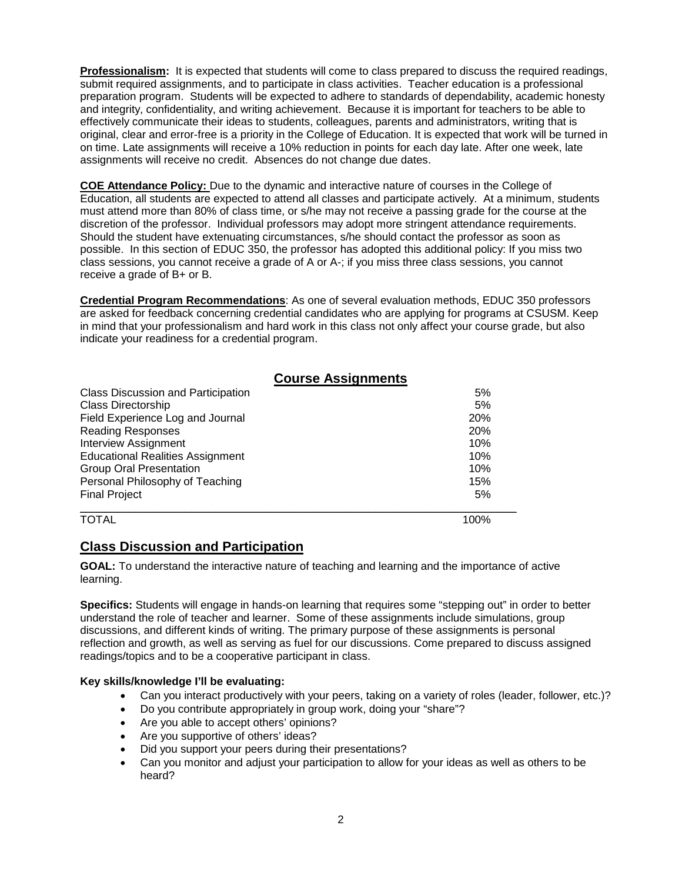**Professionalism:** It is expected that students will come to class prepared to discuss the required readings, submit required assignments, and to participate in class activities. Teacher education is a professional preparation program. Students will be expected to adhere to standards of dependability, academic honesty and integrity, confidentiality, and writing achievement. Because it is important for teachers to be able to effectively communicate their ideas to students, colleagues, parents and administrators, writing that is original, clear and error-free is a priority in the College of Education. It is expected that work will be turned in on time. Late assignments will receive a 10% reduction in points for each day late. After one week, late assignments will receive no credit. Absences do not change due dates.

**COE Attendance Policy:** Due to the dynamic and interactive nature of courses in the College of Education, all students are expected to attend all classes and participate actively. At a minimum, students must attend more than 80% of class time, or s/he may not receive a passing grade for the course at the discretion of the professor. Individual professors may adopt more stringent attendance requirements. Should the student have extenuating circumstances, s/he should contact the professor as soon as possible. In this section of EDUC 350, the professor has adopted this additional policy: If you miss two class sessions, you cannot receive a grade of A or A-; if you miss three class sessions, you cannot receive a grade of B+ or B.

**Credential Program Recommendations**: As one of several evaluation methods, EDUC 350 professors are asked for feedback concerning credential candidates who are applying for programs at CSUSM. Keep in mind that your professionalism and hard work in this class not only affect your course grade, but also indicate your readiness for a credential program.

|                                           | <b>Course Assignments</b> |      |
|-------------------------------------------|---------------------------|------|
| <b>Class Discussion and Participation</b> |                           | 5%   |
| <b>Class Directorship</b>                 |                           | 5%   |
| Field Experience Log and Journal          |                           | 20%  |
| <b>Reading Responses</b>                  |                           | 20%  |
| <b>Interview Assignment</b>               |                           | 10%  |
| <b>Educational Realities Assignment</b>   |                           | 10%  |
| <b>Group Oral Presentation</b>            |                           | 10%  |
| Personal Philosophy of Teaching           |                           | 15%  |
| Final Project                             |                           | 5%   |
| TOTAL                                     |                           | 100% |

### **Class Discussion and Participation**

**GOAL:** To understand the interactive nature of teaching and learning and the importance of active learning.

**Specifics:** Students will engage in hands-on learning that requires some "stepping out" in order to better understand the role of teacher and learner. Some of these assignments include simulations, group discussions, and different kinds of writing. The primary purpose of these assignments is personal reflection and growth, as well as serving as fuel for our discussions. Come prepared to discuss assigned readings/topics and to be a cooperative participant in class.

#### **Key skills/knowledge I'll be evaluating:**

- Can you interact productively with your peers, taking on a variety of roles (leader, follower, etc.)?
- Do you contribute appropriately in group work, doing your "share"?
- Are you able to accept others' opinions?
- Are you supportive of others' ideas?
- Did you support your peers during their presentations?
- Can you monitor and adjust your participation to allow for your ideas as well as others to be heard?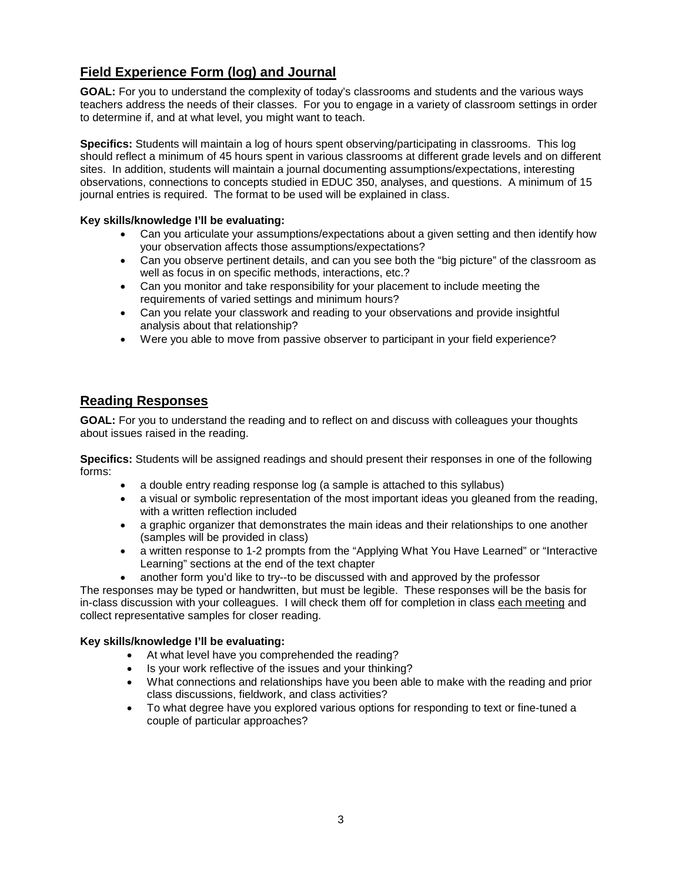# **Field Experience Form (log) and Journal**

**GOAL:** For you to understand the complexity of today's classrooms and students and the various ways teachers address the needs of their classes. For you to engage in a variety of classroom settings in order to determine if, and at what level, you might want to teach.

**Specifics:** Students will maintain a log of hours spent observing/participating in classrooms. This log should reflect a minimum of 45 hours spent in various classrooms at different grade levels and on different sites. In addition, students will maintain a journal documenting assumptions/expectations, interesting observations, connections to concepts studied in EDUC 350, analyses, and questions. A minimum of 15 journal entries is required. The format to be used will be explained in class.

#### **Key skills/knowledge I'll be evaluating:**

- Can you articulate your assumptions/expectations about a given setting and then identify how your observation affects those assumptions/expectations?
- Can you observe pertinent details, and can you see both the "big picture" of the classroom as well as focus in on specific methods, interactions, etc.?
- Can you monitor and take responsibility for your placement to include meeting the requirements of varied settings and minimum hours?
- Can you relate your classwork and reading to your observations and provide insightful analysis about that relationship?
- Were you able to move from passive observer to participant in your field experience?

### **Reading Responses**

**GOAL:** For you to understand the reading and to reflect on and discuss with colleagues your thoughts about issues raised in the reading.

**Specifics:** Students will be assigned readings and should present their responses in one of the following forms:

- a double entry reading response log (a sample is attached to this syllabus)
- a visual or symbolic representation of the most important ideas you gleaned from the reading, with a written reflection included
- a graphic organizer that demonstrates the main ideas and their relationships to one another (samples will be provided in class)
- a written response to 1-2 prompts from the "Applying What You Have Learned" or "Interactive Learning" sections at the end of the text chapter
- another form you'd like to try--to be discussed with and approved by the professor

The responses may be typed or handwritten, but must be legible. These responses will be the basis for in-class discussion with your colleagues. I will check them off for completion in class each meeting and collect representative samples for closer reading.

#### **Key skills/knowledge I'll be evaluating:**

- At what level have you comprehended the reading?
- Is your work reflective of the issues and your thinking?
- What connections and relationships have you been able to make with the reading and prior class discussions, fieldwork, and class activities?
- To what degree have you explored various options for responding to text or fine-tuned a couple of particular approaches?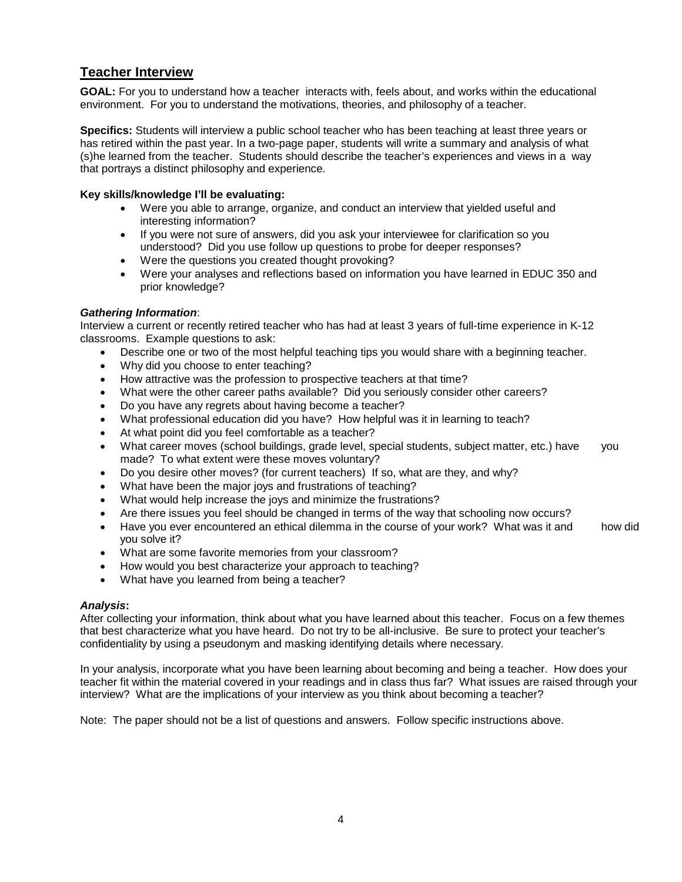### **Teacher Interview**

**GOAL:** For you to understand how a teacher interacts with, feels about, and works within the educational environment. For you to understand the motivations, theories, and philosophy of a teacher.

**Specifics:** Students will interview a public school teacher who has been teaching at least three years or has retired within the past year. In a two-page paper, students will write a summary and analysis of what (s)he learned from the teacher. Students should describe the teacher's experiences and views in a way that portrays a distinct philosophy and experience.

#### **Key skills/knowledge I'll be evaluating:**

- Were you able to arrange, organize, and conduct an interview that yielded useful and interesting information?
- If you were not sure of answers, did you ask your interviewee for clarification so you understood? Did you use follow up questions to probe for deeper responses?
- Were the questions you created thought provoking?
- Were your analyses and reflections based on information you have learned in EDUC 350 and prior knowledge?

#### *Gathering Information*:

Interview a current or recently retired teacher who has had at least 3 years of full-time experience in K-12 classrooms. Example questions to ask:

- Describe one or two of the most helpful teaching tips you would share with a beginning teacher.
- Why did you choose to enter teaching?
- How attractive was the profession to prospective teachers at that time?
- What were the other career paths available? Did you seriously consider other careers?
- Do you have any regrets about having become a teacher?
- What professional education did you have? How helpful was it in learning to teach?
- At what point did you feel comfortable as a teacher?
- What career moves (school buildings, grade level, special students, subject matter, etc.) have you made? To what extent were these moves voluntary?
- Do you desire other moves? (for current teachers) If so, what are they, and why?
- What have been the major joys and frustrations of teaching?
- What would help increase the joys and minimize the frustrations?
- Are there issues you feel should be changed in terms of the way that schooling now occurs?
- Have you ever encountered an ethical dilemma in the course of your work? What was it and how did you solve it?
- What are some favorite memories from your classroom?
- How would you best characterize your approach to teaching?
- What have you learned from being a teacher?

#### *Analysis***:**

After collecting your information, think about what you have learned about this teacher. Focus on a few themes that best characterize what you have heard. Do not try to be all-inclusive. Be sure to protect your teacher's confidentiality by using a pseudonym and masking identifying details where necessary.

In your analysis, incorporate what you have been learning about becoming and being a teacher. How does your teacher fit within the material covered in your readings and in class thus far? What issues are raised through your interview? What are the implications of your interview as you think about becoming a teacher?

Note: The paper should not be a list of questions and answers. Follow specific instructions above.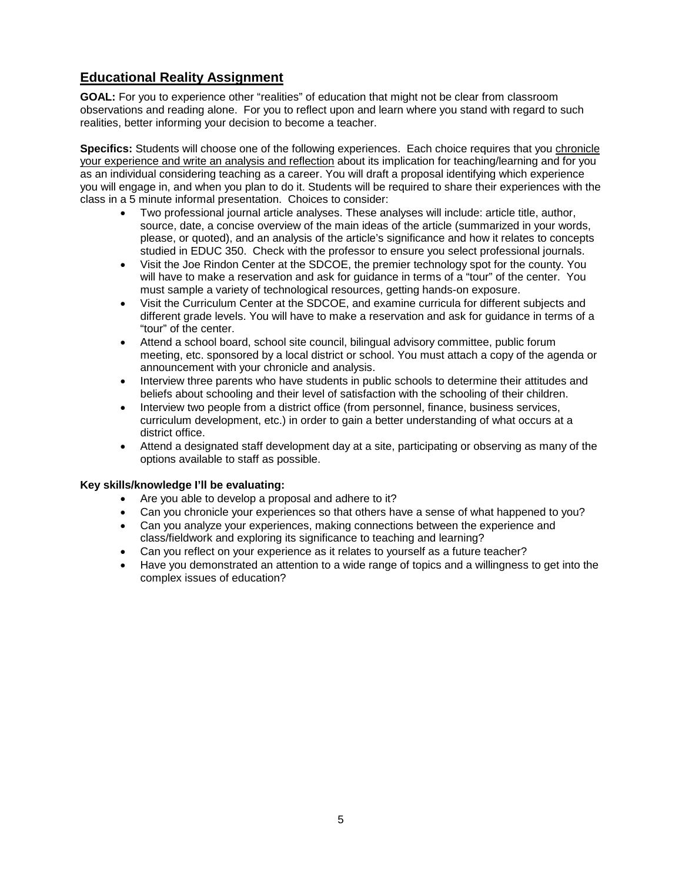# **Educational Reality Assignment**

**GOAL:** For you to experience other "realities" of education that might not be clear from classroom observations and reading alone. For you to reflect upon and learn where you stand with regard to such realities, better informing your decision to become a teacher.

**Specifics:** Students will choose one of the following experiences. Each choice requires that you chronicle your experience and write an analysis and reflection about its implication for teaching/learning and for you as an individual considering teaching as a career. You will draft a proposal identifying which experience you will engage in, and when you plan to do it. Students will be required to share their experiences with the class in a 5 minute informal presentation. Choices to consider:

- Two professional journal article analyses. These analyses will include: article title, author, source, date, a concise overview of the main ideas of the article (summarized in your words, please, or quoted), and an analysis of the article's significance and how it relates to concepts studied in EDUC 350. Check with the professor to ensure you select professional journals.
- Visit the Joe Rindon Center at the SDCOE, the premier technology spot for the county. You will have to make a reservation and ask for guidance in terms of a "tour" of the center. You must sample a variety of technological resources, getting hands-on exposure.
- Visit the Curriculum Center at the SDCOE, and examine curricula for different subjects and different grade levels. You will have to make a reservation and ask for guidance in terms of a "tour" of the center.
- Attend a school board, school site council, bilingual advisory committee, public forum meeting, etc. sponsored by a local district or school. You must attach a copy of the agenda or announcement with your chronicle and analysis.
- Interview three parents who have students in public schools to determine their attitudes and beliefs about schooling and their level of satisfaction with the schooling of their children.
- Interview two people from a district office (from personnel, finance, business services, curriculum development, etc.) in order to gain a better understanding of what occurs at a district office.
- Attend a designated staff development day at a site, participating or observing as many of the options available to staff as possible.

#### **Key skills/knowledge I'll be evaluating:**

- Are you able to develop a proposal and adhere to it?
- Can you chronicle your experiences so that others have a sense of what happened to you?
- Can you analyze your experiences, making connections between the experience and class/fieldwork and exploring its significance to teaching and learning?
- Can you reflect on your experience as it relates to yourself as a future teacher?
- Have you demonstrated an attention to a wide range of topics and a willingness to get into the complex issues of education?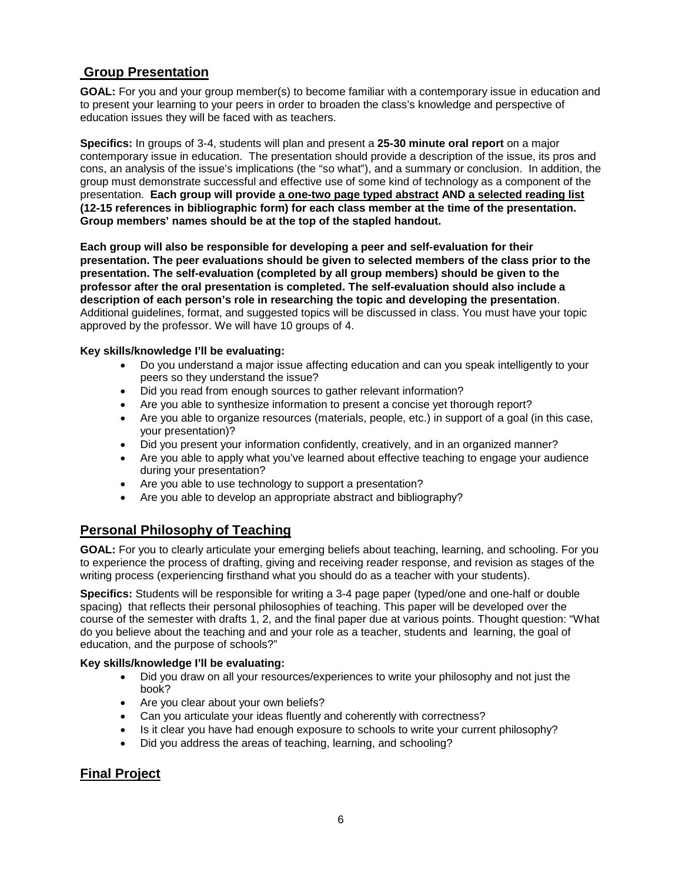### **Group Presentation**

**GOAL:** For you and your group member(s) to become familiar with a contemporary issue in education and to present your learning to your peers in order to broaden the class's knowledge and perspective of education issues they will be faced with as teachers.

**Specifics:** In groups of 3-4, students will plan and present a **25-30 minute oral report** on a major contemporary issue in education. The presentation should provide a description of the issue, its pros and cons, an analysis of the issue's implications (the "so what"), and a summary or conclusion. In addition, the group must demonstrate successful and effective use of some kind of technology as a component of the presentation. **Each group will provide a one-two page typed abstract AND a selected reading list (12-15 references in bibliographic form) for each class member at the time of the presentation. Group members' names should be at the top of the stapled handout.** 

**Each group will also be responsible for developing a peer and self-evaluation for their presentation. The peer evaluations should be given to selected members of the class prior to the presentation. The self-evaluation (completed by all group members) should be given to the professor after the oral presentation is completed. The self-evaluation should also include a description of each person's role in researching the topic and developing the presentation**. Additional guidelines, format, and suggested topics will be discussed in class. You must have your topic approved by the professor. We will have 10 groups of 4.

#### **Key skills/knowledge I'll be evaluating:**

- Do you understand a major issue affecting education and can you speak intelligently to your peers so they understand the issue?
	- Did you read from enough sources to gather relevant information?
	- Are you able to synthesize information to present a concise yet thorough report?
	- Are you able to organize resources (materials, people, etc.) in support of a goal (in this case, your presentation)?
	- Did you present your information confidently, creatively, and in an organized manner?
	- Are you able to apply what you've learned about effective teaching to engage your audience during your presentation?
	- Are you able to use technology to support a presentation?
	- Are you able to develop an appropriate abstract and bibliography?

### **Personal Philosophy of Teaching**

**GOAL:** For you to clearly articulate your emerging beliefs about teaching, learning, and schooling. For you to experience the process of drafting, giving and receiving reader response, and revision as stages of the writing process (experiencing firsthand what you should do as a teacher with your students).

**Specifics:** Students will be responsible for writing a 3-4 page paper (typed/one and one-half or double spacing) that reflects their personal philosophies of teaching. This paper will be developed over the course of the semester with drafts 1, 2, and the final paper due at various points. Thought question: "What do you believe about the teaching and and your role as a teacher, students and learning, the goal of education, and the purpose of schools?"

#### **Key skills/knowledge I'll be evaluating:**

- Did you draw on all your resources/experiences to write your philosophy and not just the book?
- Are you clear about your own beliefs?
- Can you articulate your ideas fluently and coherently with correctness?
- Is it clear you have had enough exposure to schools to write your current philosophy?
- Did you address the areas of teaching, learning, and schooling?

### **Final Project**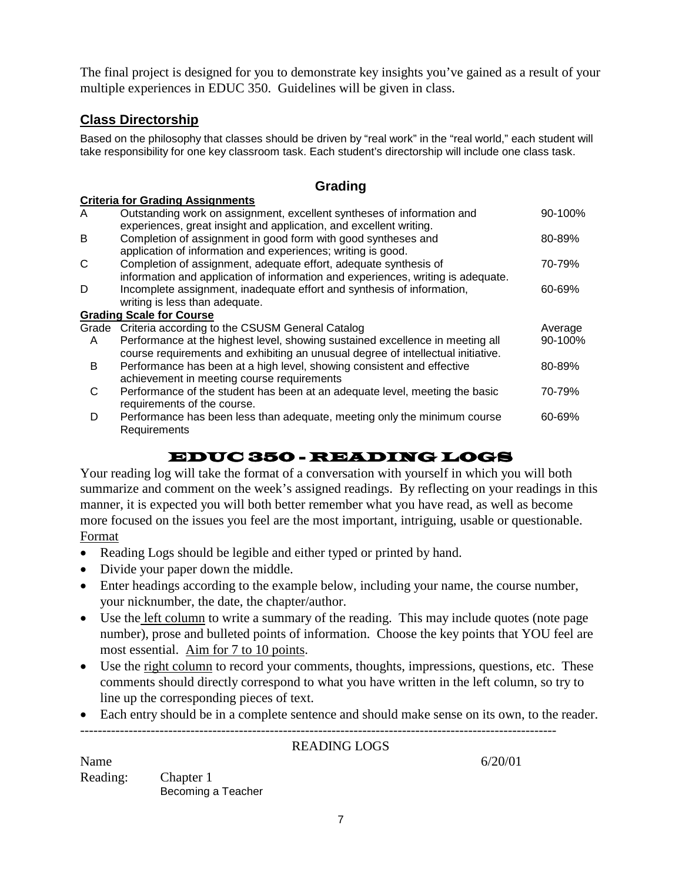The final project is designed for you to demonstrate key insights you've gained as a result of your multiple experiences in EDUC 350. Guidelines will be given in class.

### **Class Directorship**

**Criteria for Grading Assignments**

Based on the philosophy that classes should be driven by "real work" in the "real world," each student will take responsibility for one key classroom task. Each student's directorship will include one class task.

### **Grading**

|   | Criteria for Grading Assignments                                                 |         |
|---|----------------------------------------------------------------------------------|---------|
| A | Outstanding work on assignment, excellent syntheses of information and           | 90-100% |
|   | experiences, great insight and application, and excellent writing.               |         |
| B | Completion of assignment in good form with good syntheses and                    | 80-89%  |
|   | application of information and experiences; writing is good.                     |         |
| C | Completion of assignment, adequate effort, adequate synthesis of                 | 70-79%  |
|   | information and application of information and experiences, writing is adequate. |         |
| D | Incomplete assignment, inadequate effort and synthesis of information,           | 60-69%  |
|   | writing is less than adequate.                                                   |         |
|   | <b>Grading Scale for Course</b>                                                  |         |
|   | Grade Criteria according to the CSUSM General Catalog                            | Average |
| A | Performance at the highest level, showing sustained excellence in meeting all    | 90-100% |
|   | course requirements and exhibiting an unusual degree of intellectual initiative. |         |
| B | Performance has been at a high level, showing consistent and effective           | 80-89%  |
|   | achievement in meeting course requirements                                       |         |
| C | Performance of the student has been at an adequate level, meeting the basic      | 70-79%  |
|   | requirements of the course.                                                      |         |
|   |                                                                                  |         |
| D | Performance has been less than adequate, meeting only the minimum course         | 60-69%  |
|   | Requirements                                                                     |         |

# EDUC 350 - READING LOGS

Your reading log will take the format of a conversation with yourself in which you will both summarize and comment on the week's assigned readings. By reflecting on your readings in this manner, it is expected you will both better remember what you have read, as well as become more focused on the issues you feel are the most important, intriguing, usable or questionable. Format

- Reading Logs should be legible and either typed or printed by hand.
- Divide your paper down the middle.
- Enter headings according to the example below, including your name, the course number, your nicknumber, the date, the chapter/author.
- Use the left column to write a summary of the reading. This may include quotes (note page number), prose and bulleted points of information. Choose the key points that YOU feel are most essential. Aim for 7 to 10 points.
- Use the right column to record your comments, thoughts, impressions, questions, etc. These comments should directly correspond to what you have written in the left column, so try to line up the corresponding pieces of text.
- Each entry should be in a complete sentence and should make sense on its own, to the reader.

------------------------------------------------------------------------------------------------------------

### READING LOGS

Name  $6/20/01$ Reading: Chapter 1 Becoming a Teacher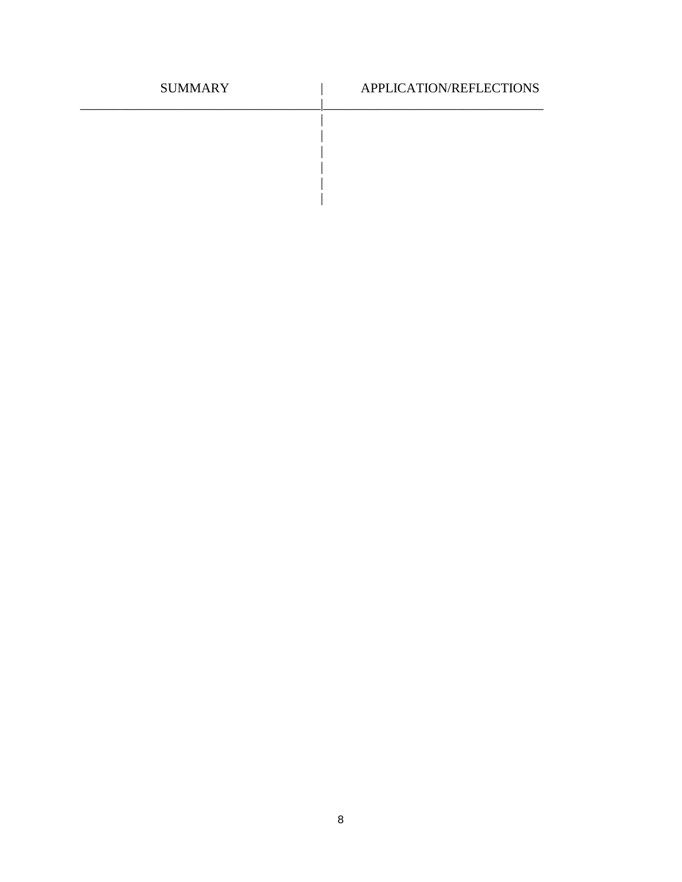| <b>SUMMARY</b> | APPLICATION/REFLECTIONS |
|----------------|-------------------------|
|                |                         |
|                |                         |
|                |                         |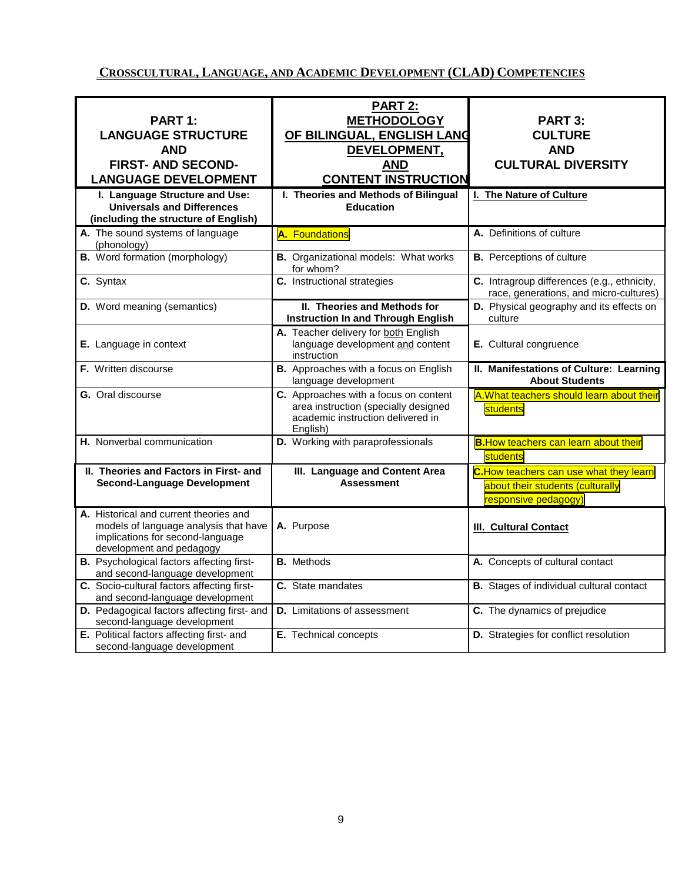## **CROSSCULTURAL, LANGUAGE, AND ACADEMIC DEVELOPMENT (CLAD) COMPETENCIES**

| PART 1:<br><b>LANGUAGE STRUCTURE</b><br><b>AND</b><br><b>FIRST- AND SECOND-</b><br><b>LANGUAGE DEVELOPMENT</b>                                  | <b>PART 2:</b><br><b>METHODOLOGY</b><br>OF BILINGUAL, ENGLISH LANG<br>DEVELOPMENT,<br><b>AND</b><br><b>CONTENT INSTRUCTION</b> | <b>PART 3:</b><br><b>CULTURE</b><br><b>AND</b><br><b>CULTURAL DIVERSITY</b>                        |
|-------------------------------------------------------------------------------------------------------------------------------------------------|--------------------------------------------------------------------------------------------------------------------------------|----------------------------------------------------------------------------------------------------|
| I. Language Structure and Use:<br><b>Universals and Differences</b><br>(including the structure of English)                                     | I. Theories and Methods of Bilingual<br><b>Education</b>                                                                       | I. The Nature of Culture                                                                           |
| A. The sound systems of language<br>(phonology)                                                                                                 | A. Foundations                                                                                                                 | A. Definitions of culture                                                                          |
| <b>B.</b> Word formation (morphology)                                                                                                           | <b>B.</b> Organizational models: What works<br>for whom?                                                                       | <b>B.</b> Perceptions of culture                                                                   |
| C. Syntax                                                                                                                                       | C. Instructional strategies                                                                                                    | C. Intragroup differences (e.g., ethnicity,<br>race, generations, and micro-cultures)              |
| D. Word meaning (semantics)                                                                                                                     | <b>II. Theories and Methods for</b><br><b>Instruction In and Through English</b>                                               | D. Physical geography and its effects on<br>culture                                                |
| E. Language in context                                                                                                                          | A. Teacher delivery for both English<br>language development and content<br>instruction                                        | E. Cultural congruence                                                                             |
| F. Written discourse                                                                                                                            | B. Approaches with a focus on English<br>language development                                                                  | II. Manifestations of Culture: Learning<br><b>About Students</b>                                   |
| <b>G.</b> Oral discourse                                                                                                                        | C. Approaches with a focus on content<br>area instruction (specially designed<br>academic instruction delivered in<br>English) | A. What teachers should learn about their<br>students                                              |
| H. Nonverbal communication                                                                                                                      | D. Working with paraprofessionals                                                                                              | <b>B. How teachers can learn about their</b><br>students                                           |
| II. Theories and Factors in First- and<br><b>Second-Language Development</b>                                                                    | III. Language and Content Area<br><b>Assessment</b>                                                                            | C.How teachers can use what they learn<br>about their students (culturally<br>responsive pedagogy) |
| A. Historical and current theories and<br>models of language analysis that have<br>implications for second-language<br>development and pedagogy | A. Purpose                                                                                                                     | <b>III. Cultural Contact</b>                                                                       |
| <b>B.</b> Psychological factors affecting first-<br>and second-language development                                                             | <b>B.</b> Methods                                                                                                              | A. Concepts of cultural contact                                                                    |
| C. Socio-cultural factors affecting first-<br>and second-language development                                                                   | C. State mandates                                                                                                              | <b>B.</b> Stages of individual cultural contact                                                    |
| D. Pedagogical factors affecting first- and<br>second-language development                                                                      | <b>D.</b> Limitations of assessment                                                                                            | C. The dynamics of prejudice                                                                       |
| E. Political factors affecting first- and<br>second-language development                                                                        | E. Technical concepts                                                                                                          | D. Strategies for conflict resolution                                                              |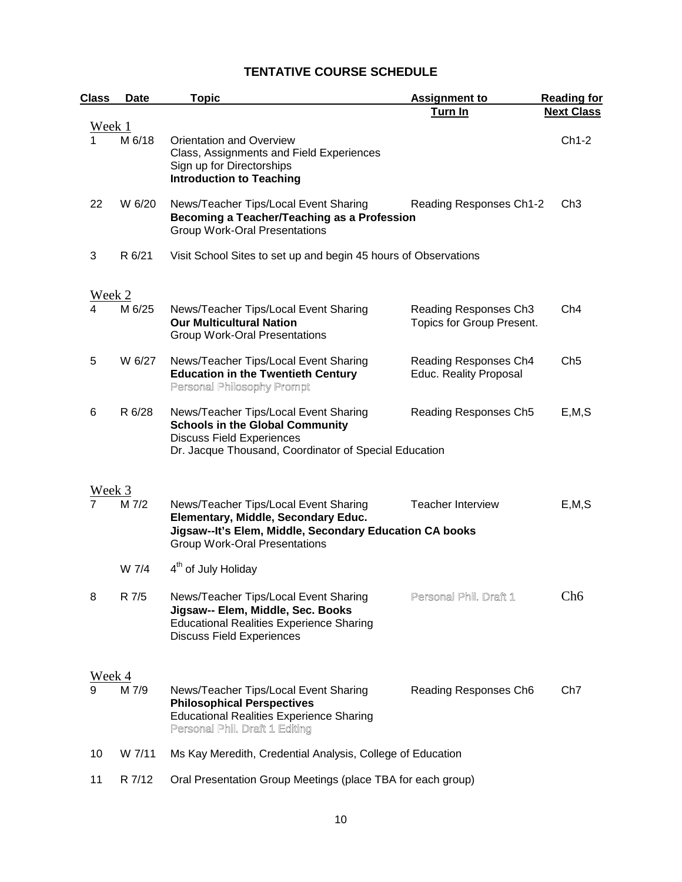# **TENTATIVE COURSE SCHEDULE**

| <b>Class</b>  | Date   | <b>Topic</b>                                                                                                                                                                    | <b>Assignment to</b>                                   | <b>Reading for</b> |
|---------------|--------|---------------------------------------------------------------------------------------------------------------------------------------------------------------------------------|--------------------------------------------------------|--------------------|
|               |        |                                                                                                                                                                                 | Turn In                                                | <b>Next Class</b>  |
| Week 1        | M 6/18 | Orientation and Overview<br>Class, Assignments and Field Experiences<br>Sign up for Directorships<br><b>Introduction to Teaching</b>                                            |                                                        | $Ch1-2$            |
| 22            | W 6/20 | News/Teacher Tips/Local Event Sharing<br>Becoming a Teacher/Teaching as a Profession<br><b>Group Work-Oral Presentations</b>                                                    | Reading Responses Ch1-2                                | Ch <sub>3</sub>    |
| 3             | R 6/21 | Visit School Sites to set up and begin 45 hours of Observations                                                                                                                 |                                                        |                    |
| <u>Week 2</u> | M 6/25 | News/Teacher Tips/Local Event Sharing                                                                                                                                           | Reading Responses Ch3                                  | Ch4                |
|               |        | <b>Our Multicultural Nation</b><br><b>Group Work-Oral Presentations</b>                                                                                                         | Topics for Group Present.                              |                    |
| 5             | W 6/27 | News/Teacher Tips/Local Event Sharing<br><b>Education in the Twentieth Century</b><br>Personal Philosophy Prompt                                                                | Reading Responses Ch4<br><b>Educ. Reality Proposal</b> | Ch <sub>5</sub>    |
| 6             | R 6/28 | News/Teacher Tips/Local Event Sharing<br><b>Schools in the Global Community</b><br><b>Discuss Field Experiences</b><br>Dr. Jacque Thousand, Coordinator of Special Education    | Reading Responses Ch5                                  | E, M, S            |
| Week 3        |        |                                                                                                                                                                                 |                                                        |                    |
|               | M 7/2  | News/Teacher Tips/Local Event Sharing<br>Elementary, Middle, Secondary Educ.<br>Jigsaw--It's Elem, Middle, Secondary Education CA books<br><b>Group Work-Oral Presentations</b> | <b>Teacher Interview</b>                               | E, M, S            |
|               | W 7/4  | 4 <sup>th</sup> of July Holiday                                                                                                                                                 |                                                        |                    |
| 8             | R 7/5  | News/Teacher Tips/Local Event Sharing<br>Jigsaw-- Elem, Middle, Sec. Books<br><b>Educational Realities Experience Sharing</b><br><b>Discuss Field Experiences</b>               | Personal Phil. Draft 1                                 | Ch <sub>6</sub>    |
| Week 4        |        |                                                                                                                                                                                 |                                                        |                    |
| 9             | M 7/9  | News/Teacher Tips/Local Event Sharing<br><b>Philosophical Perspectives</b><br><b>Educational Realities Experience Sharing</b><br>Personal Phil. Draft 1 Editing                 | Reading Responses Ch6                                  | Ch <sub>7</sub>    |
| 10            | W 7/11 | Ms Kay Meredith, Credential Analysis, College of Education                                                                                                                      |                                                        |                    |
| 11            | R 7/12 | Oral Presentation Group Meetings (place TBA for each group)                                                                                                                     |                                                        |                    |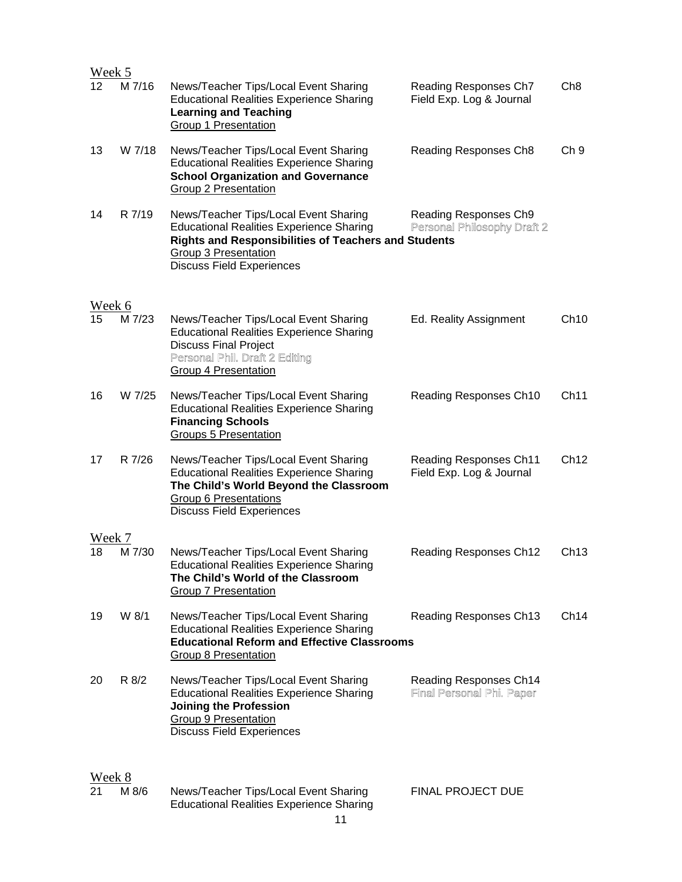| Week 5            |        |                                                                                                                                                                                                                     |                                                                   |                  |
|-------------------|--------|---------------------------------------------------------------------------------------------------------------------------------------------------------------------------------------------------------------------|-------------------------------------------------------------------|------------------|
| $12 \overline{ }$ | M 7/16 | News/Teacher Tips/Local Event Sharing<br><b>Educational Realities Experience Sharing</b><br><b>Learning and Teaching</b><br>Group 1 Presentation                                                                    | Reading Responses Ch7<br>Field Exp. Log & Journal                 | Ch <sub>8</sub>  |
| 13                | W 7/18 | News/Teacher Tips/Local Event Sharing<br><b>Educational Realities Experience Sharing</b><br><b>School Organization and Governance</b><br><b>Group 2 Presentation</b>                                                | Reading Responses Ch8                                             | Ch <sub>9</sub>  |
| 14                | R 7/19 | News/Teacher Tips/Local Event Sharing<br><b>Educational Realities Experience Sharing</b><br><b>Rights and Responsibilities of Teachers and Students</b><br>Group 3 Presentation<br><b>Discuss Field Experiences</b> | Reading Responses Ch9<br>Personal Philosophy Draft 2              |                  |
| <u>Week 6</u>     |        |                                                                                                                                                                                                                     |                                                                   |                  |
| 15                | M 7/23 | News/Teacher Tips/Local Event Sharing<br><b>Educational Realities Experience Sharing</b><br><b>Discuss Final Project</b><br>Personal Phil. Draft 2 Editing<br><b>Group 4 Presentation</b>                           | Ed. Reality Assignment                                            | Ch10             |
| 16                | W 7/25 | News/Teacher Tips/Local Event Sharing<br><b>Educational Realities Experience Sharing</b><br><b>Financing Schools</b><br><b>Groups 5 Presentation</b>                                                                | Reading Responses Ch10                                            | Ch11             |
| 17                | R 7/26 | News/Teacher Tips/Local Event Sharing<br><b>Educational Realities Experience Sharing</b><br>The Child's World Beyond the Classroom<br><b>Group 6 Presentations</b><br><b>Discuss Field Experiences</b>              | <b>Reading Responses Ch11</b><br>Field Exp. Log & Journal         | Ch12             |
| Week 7            |        |                                                                                                                                                                                                                     |                                                                   |                  |
| 18                | M 7/30 | News/Teacher Tips/Local Event Sharing<br><b>Educational Realities Experience Sharing</b><br>The Child's World of the Classroom<br>Group 7 Presentation                                                              | <b>Reading Responses Ch12</b>                                     | Ch13             |
| 19                | W 8/1  | News/Teacher Tips/Local Event Sharing<br><b>Educational Realities Experience Sharing</b><br><b>Educational Reform and Effective Classrooms</b><br>Group 8 Presentation                                              | Reading Responses Ch13                                            | Ch <sub>14</sub> |
| 20                | R 8/2  | News/Teacher Tips/Local Event Sharing<br><b>Educational Realities Experience Sharing</b><br><b>Joining the Profession</b><br><b>Group 9 Presentation</b><br><b>Discuss Field Experiences</b>                        | <b>Reading Responses Ch14</b><br><b>Final Personal Phi. Paper</b> |                  |
| Week 8            |        |                                                                                                                                                                                                                     |                                                                   |                  |
| 21                | M 8/6  | News/Teacher Tips/Local Event Sharing<br><b>Educational Realities Experience Sharing</b>                                                                                                                            | FINAL PROJECT DUE                                                 |                  |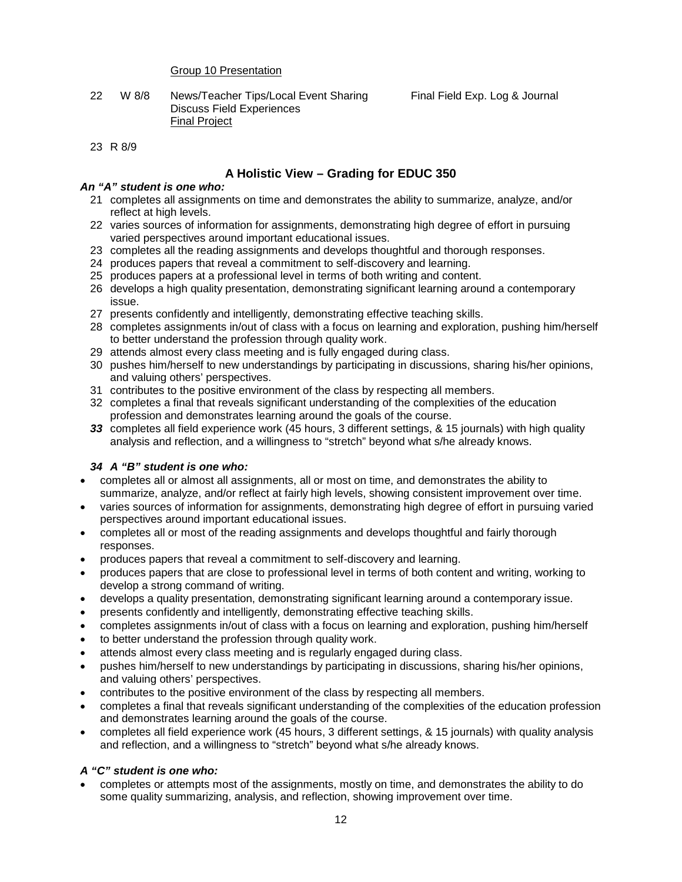#### Group 10 Presentation

22 W 8/8 News/Teacher Tips/Local Event Sharing Final Field Exp. Log & Journal Discuss Field Experiences Final Project

#### 23 R 8/9

### **A Holistic View – Grading for EDUC 350**

#### *An "A" student is one who:*

- 21 completes all assignments on time and demonstrates the ability to summarize, analyze, and/or reflect at high levels.
- 22 varies sources of information for assignments, demonstrating high degree of effort in pursuing varied perspectives around important educational issues.
- 23 completes all the reading assignments and develops thoughtful and thorough responses.
- 24 produces papers that reveal a commitment to self-discovery and learning.
- 25 produces papers at a professional level in terms of both writing and content.
- 26 develops a high quality presentation, demonstrating significant learning around a contemporary issue.
- 27 presents confidently and intelligently, demonstrating effective teaching skills.
- 28 completes assignments in/out of class with a focus on learning and exploration, pushing him/herself to better understand the profession through quality work.
- 29 attends almost every class meeting and is fully engaged during class.
- 30 pushes him/herself to new understandings by participating in discussions, sharing his/her opinions, and valuing others' perspectives.
- 31 contributes to the positive environment of the class by respecting all members.
- 32 completes a final that reveals significant understanding of the complexities of the education profession and demonstrates learning around the goals of the course.
- *33* completes all field experience work (45 hours, 3 different settings, & 15 journals) with high quality analysis and reflection, and a willingness to "stretch" beyond what s/he already knows.

#### *34 A "B" student is one who:*

- completes all or almost all assignments, all or most on time, and demonstrates the ability to summarize, analyze, and/or reflect at fairly high levels, showing consistent improvement over time.
- varies sources of information for assignments, demonstrating high degree of effort in pursuing varied perspectives around important educational issues.
- completes all or most of the reading assignments and develops thoughtful and fairly thorough responses.
- produces papers that reveal a commitment to self-discovery and learning.
- produces papers that are close to professional level in terms of both content and writing, working to develop a strong command of writing.
- develops a quality presentation, demonstrating significant learning around a contemporary issue.
- presents confidently and intelligently, demonstrating effective teaching skills.
- completes assignments in/out of class with a focus on learning and exploration, pushing him/herself
- to better understand the profession through quality work.
- attends almost every class meeting and is regularly engaged during class.
- pushes him/herself to new understandings by participating in discussions, sharing his/her opinions, and valuing others' perspectives.
- contributes to the positive environment of the class by respecting all members.
- completes a final that reveals significant understanding of the complexities of the education profession and demonstrates learning around the goals of the course.
- completes all field experience work (45 hours, 3 different settings, & 15 journals) with quality analysis and reflection, and a willingness to "stretch" beyond what s/he already knows.

#### *A "C" student is one who:*

• completes or attempts most of the assignments, mostly on time, and demonstrates the ability to do some quality summarizing, analysis, and reflection, showing improvement over time.